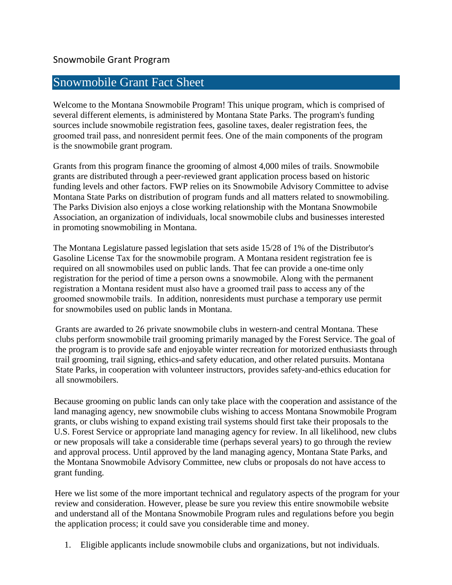## Snowmobile Grant Fact Sheet

Welcome to the Montana Snowmobile Program! This unique program, which is comprised of several different elements, is administered by Montana State Parks. The program's funding sources include snowmobile registration fees, gasoline taxes, dealer registration fees, the groomed trail pass, and nonresident permit fees. One of the main components of the program is the snowmobile grant program.

Grants from this program finance the grooming of almost 4,000 miles of trails. Snowmobile grants are distributed through a peer-reviewed grant application process based on historic funding levels and other factors. FWP relies on its Snowmobile Advisory Committee to advise Montana State Parks on distribution of program funds and all matters related to snowmobiling. The Parks Division also enjoys a close working relationship with the Montana Snowmobile Association, an organization of individuals, local snowmobile clubs and businesses interested in promoting snowmobiling in Montana.

The Montana Legislature passed legislation that sets aside 15/28 of 1% of the Distributor's Gasoline License Tax for the snowmobile program. A Montana resident registration fee is required on all snowmobiles used on public lands. That fee can provide a one-time only registration for the period of time a person owns a snowmobile. Along with the permanent registration a Montana resident must also have a groomed trail pass to access any of the groomed snowmobile trails. In addition, nonresidents must purchase a temporary use permit for snowmobiles used on public lands in Montana.

Grants are awarded to 26 private snowmobile clubs in western-and central Montana. These clubs perform snowmobile trail grooming primarily managed by the Forest Service. The goal of the program is to provide safe and enjoyable winter recreation for motorized enthusiasts through trail grooming, trail signing, ethics-and safety education, and other related pursuits. Montana State Parks, in cooperation with volunteer instructors, provides safety-and-ethics education for all snowmobilers.

Because grooming on public lands can only take place with the cooperation and assistance of the land managing agency, new snowmobile clubs wishing to access Montana Snowmobile Program grants, or clubs wishing to expand existing trail systems should first take their proposals to the U.S. Forest Service or appropriate land managing agency for review. In all likelihood, new clubs or new proposals will take a considerable time (perhaps several years) to go through the review and approval process. Until approved by the land managing agency, Montana State Parks, and the Montana Snowmobile Advisory Committee, new clubs or proposals do not have access to grant funding.

Here we list some of the more important technical and regulatory aspects of the program for your review and consideration. However, please be sure you review this entire snowmobile website and understand all of the Montana Snowmobile Program rules and regulations before you begin the application process; it could save you considerable time and money.

1. Eligible applicants include snowmobile clubs and organizations, but not individuals.